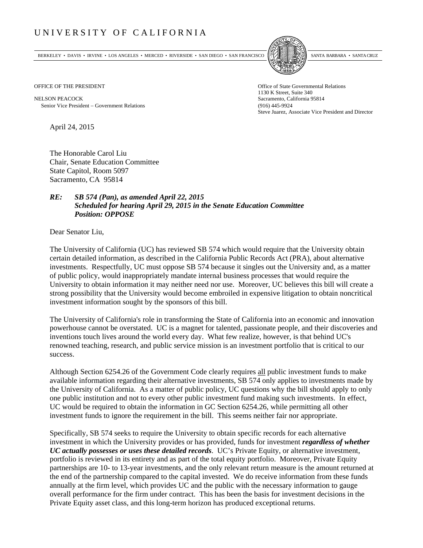## UNIVERSITY OF CALIFORNIA

BERKELEY • DAVIS • IRVINE • LOS ANGELES • MERCED • RIVERSIDE • SAN DIEGO • SAN FRANCISCO SANTA BARBARA • SANTA CRUZ



1130 K Street, Suite 340 Steve Juarez, Associate Vice President and Director

OFFICE OF THE PRESIDENT STATES OF THE PRESIDENT

NELSON PEACOCK Sacramento, California 95814 Senior Vice President Government Relations (916) 445-9924

April 24, 2015

The Honorable Carol Liu Chair, Senate Education Committee State Capitol, Room 5097 Sacramento, CA 95814

## *RE: SB 574 (Pan), as amended April 22, 2015 Scheduled for hearing April 29, 2015 in the Senate Education Committee Position: OPPOSE*

Dear Senator Liu,

The University of California (UC) has reviewed SB 574 which would require that the University obtain certain detailed information, as described in the California Public Records Act (PRA), about alternative investments. Respectfully, UC must oppose SB 574 because it singles out the University and, as a matter of public policy, would inappropriately mandate internal business processes that would require the University to obtain information it may neither need nor use. Moreover, UC believes this bill will create a strong possibility that the University would become embroiled in expensive litigation to obtain noncritical investment information sought by the sponsors of this bill.

The University of California's role in transforming the State of California into an economic and innovation powerhouse cannot be overstated. UC is a magnet for talented, passionate people, and their discoveries and inventions touch lives around the world every day. What few realize, however, is that behind UC's renowned teaching, research, and public service mission is an investment portfolio that is critical to our success.

Although Section 6254.26 of the Government Code clearly requires all public investment funds to make available information regarding their alternative investments, SB 574 only applies to investments made by the University of California. As a matter of public policy, UC questions why the bill should apply to only one public institution and not to every other public investment fund making such investments. In effect, UC would be required to obtain the information in GC Section 6254.26, while permitting all other investment funds to ignore the requirement in the bill. This seems neither fair nor appropriate.

Specifically, SB 574 seeks to require the University to obtain specific records for each alternative investment in which the University provides or has provided, funds for investment *regardless of whether UC actually possesses or uses these detailed records*. UC's Private Equity, or alternative investment, portfolio is reviewed in its entirety and as part of the total equity portfolio. Moreover, Private Equity partnerships are 10- to 13-year investments, and the only relevant return measure is the amount returned at the end of the partnership compared to the capital invested. We do receive information from these funds annually at the firm level, which provides UC and the public with the necessary information to gauge overall performance for the firm under contract. This has been the basis for investment decisions in the Private Equity asset class, and this long-term horizon has produced exceptional returns.